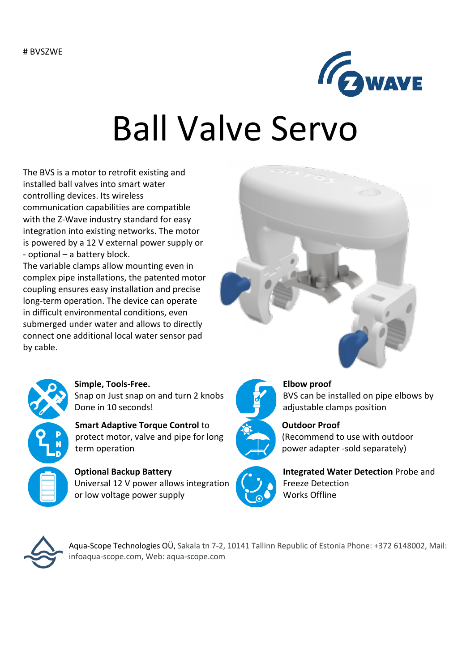

# Ball Valve Servo

The BVS is a motor to retrofit existing and installed ball valves into smart water controlling devices. Its wireless communication capabilities are compatible with the Z-Wave industry standard for easy integration into existing networks. The motor is powered by a 12 V external power supply or - optional – a battery block.

The variable clamps allow mounting even in complex pipe installations, the patented motor coupling ensures easy installation and precise long-term operation. The device can operate in difficult environmental conditions, even submerged under water and allows to directly connect one additional local water sensor pad by cable.





#### **Simple, Tools-Free.** Snap on Just snap on and turn 2 knobs Done in 10 seconds!

**Smart Adaptive Torque Control** to protect motor, valve and pipe for long term operation

**Optional Backup Battery** Universal 12 V power allows integration or low voltage power supply



#### **Elbow proof**

BVS can be installed on pipe elbows by adjustable clamps position



**Outdoor Proof** (Recommend to use with outdoor power adapter -sold separately)



**Integrated Water Detection** Probe and Freeze Detection Works Offline



Aqua-Scope Technologies OÜ, Sakala tn 7-2, 10141 Tallinn Republic of Estonia Phone: +372 6148002, Mail: infoaqua-scope.com, Web: aqua-scope.com